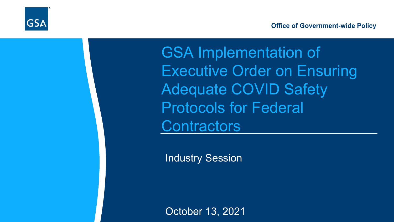

GSA Implementation of Executive Order on Ensuring Adequate COVID Safety Protocols for Federal **Contractors** 

Industry Session

October 13, 2021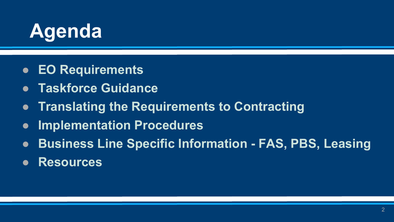# **Agenda**

- **EO Requirements**
- **Taskforce Guidance**
- **Translating the Requirements to Contracting**
- **Implementation Procedures**
- **Business Line Specific Information - FAS, PBS, Leasing**
- **Resources**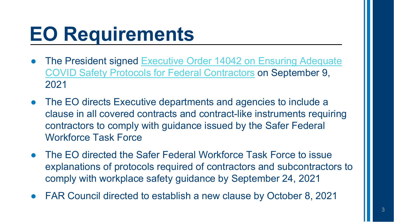# **EO Requirements**

- [The President signed Executive Order 14042 on Ensuring Adequate](https://www.whitehouse.gov/briefing-room/presidential-actions/2021/09/09/executive-order-on-ensuring-adequate-covid-safety-protocols-for-federal-contractors/) COVID Safety Protocols for Federal Contractors on September 9, 2021
- The EO directs Executive departments and agencies to include a clause in all covered contracts and contract-like instruments requiring contractors to comply with guidance issued by the Safer Federal Workforce Task Force
- The EO directed the Safer Federal Workforce Task Force to issue explanations of protocols required of contractors and subcontractors to comply with workplace safety guidance by September 24, 2021
- FAR Council directed to establish a new clause by October 8, 2021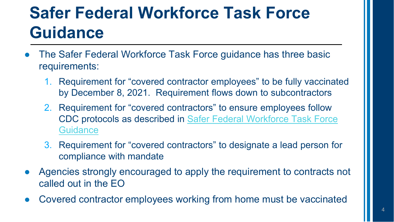## **Safer Federal Workforce Task Force Guidance**

- The Safer Federal Workforce Task Force guidance has three basic requirements:
	- 1. Requirement for "covered contractor employees" to be fully vaccinated by December 8, 2021. Requirement flows down to subcontractors
	- 2. Requirement for "covered contractors" to ensure employees follow [CDC protocols as described in Safer Federal Workforce Task Force](https://www.saferfederalworkforce.gov/) **Guidance**
	- 3. Requirement for "covered contractors" to designate a lead person for compliance with mandate
- Agencies strongly encouraged to apply the requirement to contracts not called out in the EO
- Covered contractor employees working from home must be vaccinated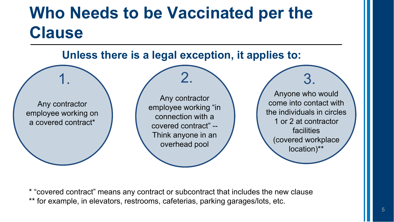### **Who Needs to be Vaccinated per the Clause**



\* "covered contract" means any contract or subcontract that includes the new clause \*\* for example, in elevators, restrooms, cafeterias, parking garages/lots, etc.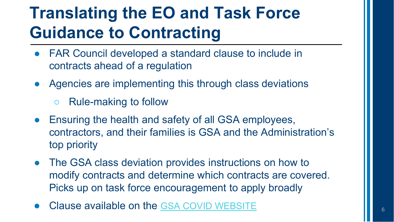## **Translating the EO and Task Force Guidance to Contracting**

- FAR Council developed a standard clause to include in contracts ahead of a regulation
- Agencies are implementing this through class deviations
	- **Rule-making to follow**
- Ensuring the health and safety of all GSA employees, contractors, and their families is GSA and the Administration's top priority
- The GSA class deviation provides instructions on how to modify contracts and determine which contracts are covered. Picks up on task force encouragement to apply broadly
- Clause available on the [GSA COVID WEBSITE](https://www.gsa.gov/governmentwide-initiatives/emergency-response/covid19-coronavirus) **6 AU CLAUSE 10** AU 6 6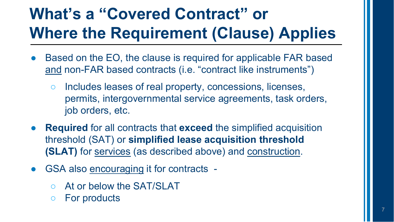## **What's a "Covered Contract" or Where the Requirement (Clause) Applies**

- Based on the EO, the clause is required for applicable FAR based and non-FAR based contracts (i.e. "contract like instruments")
	- Includes leases of real property, concessions, licenses, permits, intergovernmental service agreements, task orders, job orders, etc.
- **Required** for all contracts that **exceed** the simplified acquisition threshold (SAT) or **simplified lease acquisition threshold (SLAT)** for services (as described above) and construction.
- GSA also encouraging it for contracts -
	- At or below the SAT/SLAT
	- For products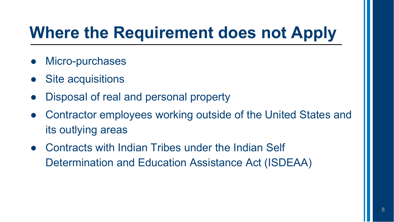### **Where the Requirement does not Apply**

- Micro-purchases
- **Site acquisitions**
- Disposal of real and personal property
- Contractor employees working outside of the United States and its outlying areas
- Contracts with Indian Tribes under the Indian Self Determination and Education Assistance Act (ISDEAA)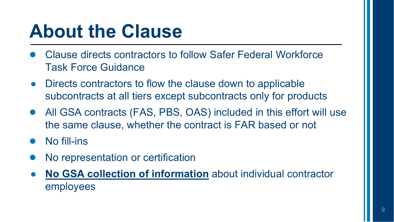## **About the Clause**

- Clause directs contractors to follow Safer Federal Workforce Task Force Guidance
- Directs contractors to flow the clause down to applicable subcontracts at all tiers except subcontracts only for products
- All GSA contracts (FAS, PBS, OAS) included in this effort will use the same clause, whether the contract is FAR based or not
- No fill-ins
- No representation or certification
- **No GSA collection of information** about individual contractor employees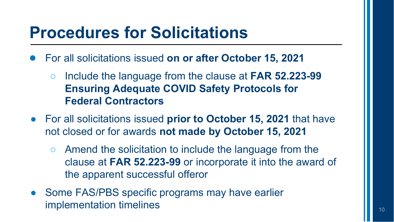#### **Procedures for Solicitations**

- For all solicitations issued **on or after October 15, 2021**
	- Include the language from the clause at **FAR 52.223-99 Ensuring Adequate COVID Safety Protocols for Federal Contractors**
- For all solicitations issued **prior to October 15, 2021** that have not closed or for awards **not made by October 15, 2021**
	- Amend the solicitation to include the language from the clause at **FAR 52.223-99** or incorporate it into the award of the apparent successful offeror
- Some FAS/PBS specific programs may have earlier implementation timelines and the set of the set of the set of the set of the set of the set of the set of the s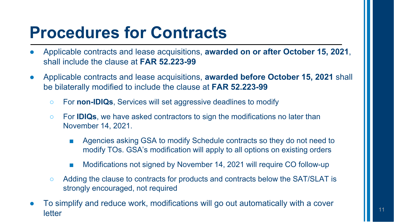#### **Procedures for Contracts**

- Applicable contracts and lease acquisitions, **awarded on or after October 15, 2021**, shall include the clause at **FAR 52.223-99**
- Applicable contracts and lease acquisitions, **awarded before October 15, 2021** shall be bilaterally modified to include the clause at **FAR 52.223-99**
	- For **non-IDIQs**, Services will set aggressive deadlines to modify
	- For **IDIQs**, we have asked contractors to sign the modifications no later than November 14, 2021.
		- Agencies asking GSA to modify Schedule contracts so they do not need to modify TOs. GSA's modification will apply to all options on existing orders
		- Modifications not signed by November 14, 2021 will require CO follow-up
	- Adding the clause to contracts for products and contracts below the SAT/SLAT is strongly encouraged, not required
- To simplify and reduce work, modifications will go out automatically with a cover letter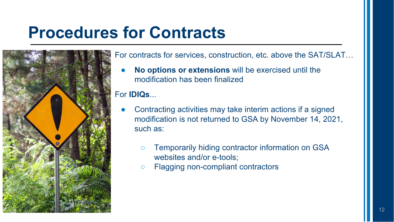#### **Procedures for Contracts**



For contracts for services, construction, etc. above the SAT/SLAT…

**No options or extensions** will be exercised until the modification has been finalized

#### For **IDIQs**...

- Contracting activities may take interim actions if a signed modification is not returned to GSA by November 14, 2021, such as:
	- Temporarily hiding contractor information on GSA websites and/or e-tools;
	- Flagging non-compliant contractors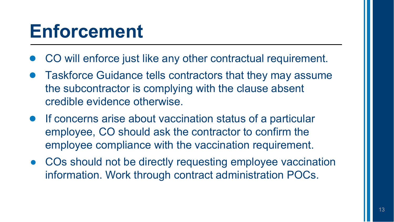## **Enforcement**

- CO will enforce just like any other contractual requirement.
- Taskforce Guidance tells contractors that they may assume the subcontractor is complying with the clause absent credible evidence otherwise.
- If concerns arise about vaccination status of a particular employee, CO should ask the contractor to confirm the employee compliance with the vaccination requirement.
- COs should not be directly requesting employee vaccination information. Work through contract administration POCs.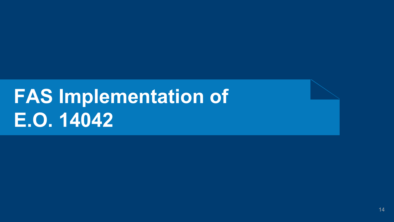# **FAS Implementation of E.O. 14042**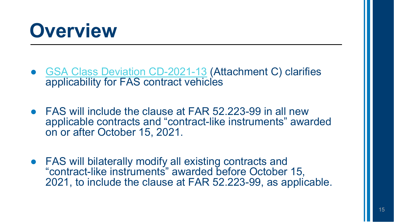## **Overview**

- [GSA Class Deviation CD-2021-13](https://www.gsa.gov/cdnstatic/Class%20Deviation%20CD-2021-13_0.pdf) (Attachment C) clarifies applicability for FAS contract vehicles
- FAS will include the clause at FAR 52.223-99 in all new applicable contracts and "contract-like instruments" awarded on or after October 15, 2021.
- FAS will bilaterally modify all existing contracts and "contract-like instruments" awarded before October 15, 2021, to include the clause at FAR 52.223-99, as applicable.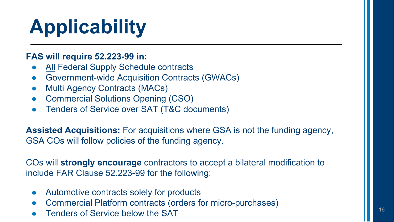# **Applicability**

#### **FAS will require 52.223-99 in:**

- All Federal Supply Schedule contracts
- Government-wide Acquisition Contracts (GWACs)
- **Multi Agency Contracts (MACs)**
- Commercial Solutions Opening (CSO)
- Tenders of Service over SAT (T&C documents)

**Assisted Acquisitions:** For acquisitions where GSA is not the funding agency, GSA COs will follow policies of the funding agency.

COs will **strongly encourage** contractors to accept a bilateral modification to include FAR Clause 52.223-99 for the following:

- Automotive contracts solely for products
- Commercial Platform contracts (orders for micro-purchases)
- Tenders of Service below the SAT 16 and 16 and 16 and 16 and 16 and 16 and 16 and 16 and 16 and 16 and 16 and 16 and 16 and 16 and 16 and 16 and 16 and 16 and 16 and 16 and 16 and 16 and 16 and 16 and 16 and 16 and 16 and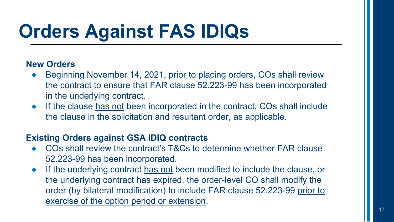## **Orders Against FAS IDIQs**

#### **New Orders**

- Beginning November 14, 2021, prior to placing orders, COs shall review the contract to ensure that FAR clause 52.223-99 has been incorporated in the underlying contract.
- If the clause has not been incorporated in the contract, COs shall include the clause in the solicitation and resultant order, as applicable.

#### **Existing Orders against GSA IDIQ contracts**

- COs shall review the contract's T&Cs to determine whether FAR clause 52.223-99 has been incorporated.
- If the underlying contract has not been modified to include the clause, or the underlying contract has expired, the order-level CO shall modify the order (by bilateral modification) to include FAR clause 52.223-99 prior to exercise of the option period or extension.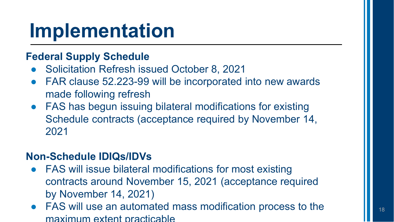## **Implementation**

#### **Federal Supply Schedule**

- Solicitation Refresh issued October 8, 2021
- FAR clause 52.223-99 will be incorporated into new awards made following refresh
- FAS has begun issuing bilateral modifications for existing Schedule contracts (acceptance required by November 14, 2021

#### **Non-Schedule IDIQs/IDVs**

- FAS will issue bilateral modifications for most existing contracts around November 15, 2021 (acceptance required by November 14, 2021)
- FAS will use an automated mass modification process to the maximum extent practicable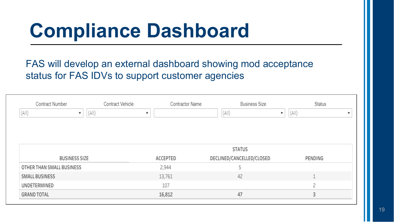## **Compliance Dashboard**

FAS will develop an external dashboard showing mod acceptance status for FAS IDVs to support customer agencies

| Contract Number           | Contract Vehicle | Contractor Name | <b>Business Size</b>      | Status                                                      |  |  |
|---------------------------|------------------|-----------------|---------------------------|-------------------------------------------------------------|--|--|
| (All)<br>▼                | (A  )            |                 | (A  )                     | (A  )<br>$\overline{\mathbf{v}}$<br>$\overline{\mathbf{v}}$ |  |  |
|                           |                  |                 |                           |                                                             |  |  |
|                           |                  |                 |                           |                                                             |  |  |
|                           |                  | <b>STATUS</b>   |                           |                                                             |  |  |
| <b>BUSINESS SIZE</b>      |                  | ACCEPTED        | DECLINED/CANCELLED/CLOSED | PENDING                                                     |  |  |
| OTHER THAN SMALL BUSINESS |                  | 2,944           | 5                         |                                                             |  |  |
| SMALL BUSINESS            |                  | 13,761          | 42                        | ×                                                           |  |  |
| UNDETERMINED              |                  | 107             |                           | 2                                                           |  |  |
| <b>GRAND TOTAL</b>        |                  | 16,812          | 47                        | 3                                                           |  |  |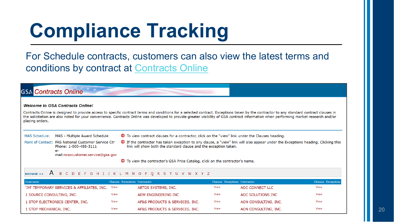# **Compliance Tracking**

For Schedule contracts, customers can also view the latest terms and conditions by contract at [Contracts Online](https://www.gsaelibrary.gsa.gov/ElibMain/contractsOnline.do?scheduleNumber=MAS)

**GSA** Contracts Online

#### **Welcome to GSA Contracts Online!**

Contracts Online is designed to provide access to specific contract terms and conditions for a selected contract. Exceptions taken by the contractor to any standard contract clauses in the solicitation are also noted for your convenience. Contracts Online was developed to provide greater visibility of GSA contract information when performing market research and/or placing orders.

MAS Schedule: MAS - Multiple Award Schedule

Point of Contact: FAS National Customer Service Ctr Phone: 1-800-488-3111  $\rho -$ 

To view contract clauses for a contractor, click on the "view" link under the Clauses heading.

If the contractor has taken exception to any clause, a "view" link will also appear under the Exceptions heading. Clicking this link will show both the standard clause and the exception taken.

mail:ncsccustomer.service@gsa.gov

• To view the contractor's GSA Price Catalog, click on the contractor's name.

#### A B C D E F G H I J K L M N O P Q R S T U V W X Y Z **BROWSE >>**

| <b>Contractor</b>                          | <b>Clauses Exceptions Contractor</b> |                                | <b>Clauses Exceptions Contractor</b> |                      | <b>Clauses Exceptions</b> |
|--------------------------------------------|--------------------------------------|--------------------------------|--------------------------------------|----------------------|---------------------------|
| 'JM' TEMPORARY SERVICES & AFFILIATES, INC. | View                                 | AETOS SYSTEMS, INC.            | View                                 | AOC CONNECT LLC      | View                      |
| 1 SOURCE CONSULTING, INC.                  | View                                 | AEW ENGINEERING INC            | View                                 | AOC SOLUTIONS INC    | View                      |
| 1 STOP ELECTRONICS CENTER, INC.            | View                                 | AF&S PRODUCTS & SERVICES, INC. | View                                 | AON CONSULTING, INC. | View                      |
| 1 STOP MECHANICAL INC.                     | View                                 | AF&S PRODUCTS & SERVICES, INC. | View                                 | AON CONSULTING, INC. | View                      |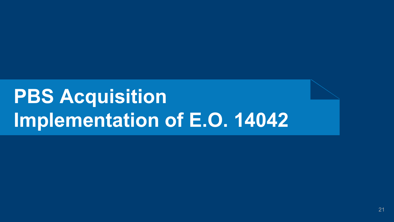# **PBS Acquisition Implementation of E.O. 14042**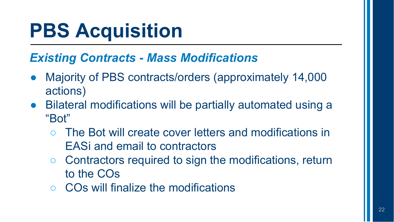# **PBS Acquisition**

#### *Existing Contracts - Mass Modifications*

- Majority of PBS contracts/orders (approximately 14,000) actions)
- Bilateral modifications will be partially automated using a "Bot"
	- The Bot will create cover letters and modifications in EASi and email to contractors
	- Contractors required to sign the modifications, return to the COs
	- COs will finalize the modifications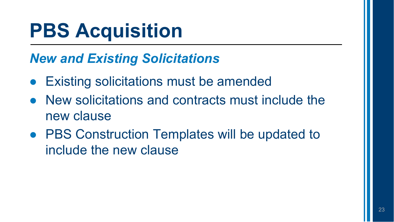# **PBS Acquisition**

#### *New and Existing Solicitations*

- **Existing solicitations must be amended**
- New solicitations and contracts must include the new clause
- PBS Construction Templates will be updated to include the new clause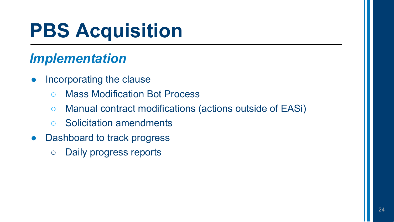# **PBS Acquisition**

#### *Implementation*

- Incorporating the clause
	- Mass Modification Bot Process
	- Manual contract modifications (actions outside of EASi)
	- Solicitation amendments
- Dashboard to track progress
	- Daily progress reports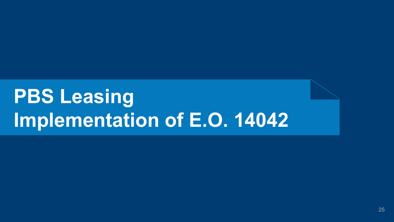# **PBS Leasing Implementation of E.O. 14042**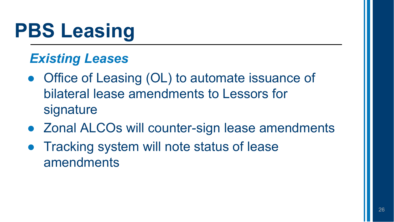# **PBS Leasing**

#### *Existing Leases*

- Office of Leasing (OL) to automate issuance of bilateral lease amendments to Lessors for signature
- Zonal ALCOs will counter-sign lease amendments
- Tracking system will note status of lease amendments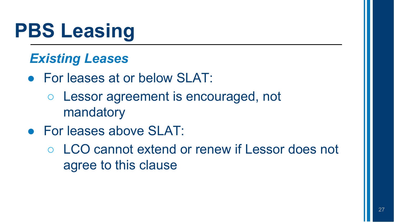# **PBS Leasing**

#### *Existing Leases*

- For leases at or below SLAT:
	- Lessor agreement is encouraged, not mandatory
- For leases above SLAT:
	- LCO cannot extend or renew if Lessor does not agree to this clause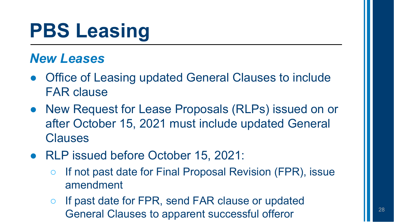# **PBS Leasing**

#### *New Leases*

- Office of Leasing updated General Clauses to include FAR clause
- New Request for Lease Proposals (RLPs) issued on or after October 15, 2021 must include updated General **Clauses**
- RLP issued before October 15, 2021:
	- If not past date for Final Proposal Revision (FPR), issue amendment
	- If past date for FPR, send FAR clause or updated General Clauses to apparent successful offeror **1998**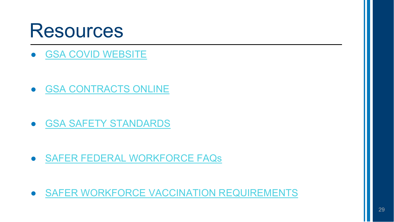## **Resources**

**[GSA COVID WEBSITE](https://www.gsa.gov/governmentwide-initiatives/emergency-response/covid19-coronavirus)** 

● [GSA CONTRACTS ONLINE](https://www.gsaelibrary.gsa.gov/ElibMain/contractsOnline.do?scheduleNumber=MAS)

● [GSA SAFETY STANDARDS](https://www.gsa.gov/governmentwide-initiatives/emergency-response/safer-federal-workplace)

● [SAFER FEDERAL WORKFORCE FAQs](https://www.saferfederalworkforce.gov/faq/)

**. [SAFER WORKFORCE VACCINATION REQUIREMENTS](https://www.saferfederalworkforce.gov/faq/vaccinations/)**